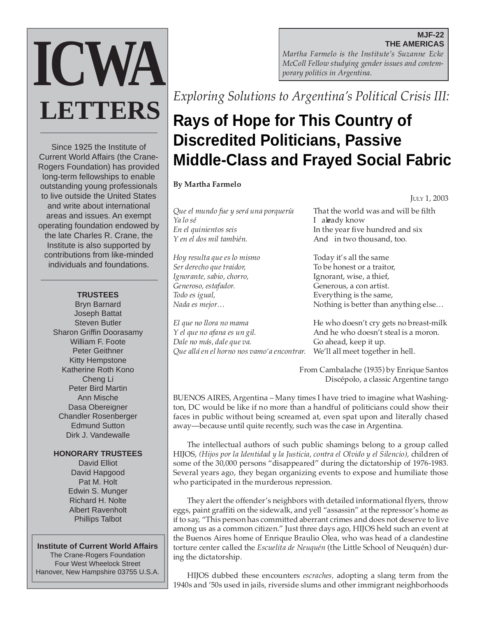#### **MJF-22 THE AMERICAS**

*Martha Farmelo is the Institute's Suzanne Ecke McColl Fellow studying gender issues and contemporary politics in Argentina.*

*Exploring Solutions to Argentina's Political Crisis III:*

# **Rays of Hope for This Country of Discredited Politicians, Passive Middle-Class and Frayed Social Fabric**

## **By Martha Farmelo**

*Que el mundo fue y será una porquería* That the world was and will be filth *Ya lo sé* I already know *En el quinientos seis* **In the year five hundred and six** *Y* en el dos mil también. And in two thousand, too.

*Hoy resulta que es lo mismo* Today it's all the same *Ser derecho que traidor,* To be honest or a traitor, *Ignorante, sabio, chorro,* Ignorant, wise, a thief, *Generoso, estafador.* Generous, a con artist. *Todo es igual,* Everything is the same,

*Dale no más, dale que va.* Go ahead, keep it up. *Que allá en el horno nos vamo'a encontrar.* We'll all meet together in hell.

JULY 1, 2003

*Nada es mejor…* Nothing is better than anything else…

*El que no llora no mama* He who doesn't cry gets no breast-milk *Y el que no afana es un gil.* And he who doesn't steal is a moron.

> From Cambalache (1935) by Enrique Santos Discépolo, a classic Argentine tango

BUENOS AIRES, Argentina – Many times I have tried to imagine what Washington, DC would be like if no more than a handful of politicians could show their faces in public without being screamed at, even spat upon and literally chased away—because until quite recently, such was the case in Argentina.

The intellectual authors of such public shamings belong to a group called HIJOS, *(Hijos por la Identidad y la Justicia, contra el Olvido y el Silencio),* children of some of the 30,000 persons "disappeared" during the dictatorship of 1976-1983*.* Several years ago, they began organizing events to expose and humiliate those who participated in the murderous repression.

They alert the offender's neighbors with detailed informational flyers, throw eggs, paint graffiti on the sidewalk, and yell "assassin" at the repressor's home as if to say, "This person has committed aberrant crimes and does not deserve to live among us as a common citizen." Just three days ago, HIJOS held such an event at the Buenos Aires home of Enrique Braulio Olea, who was head of a clandestine torture center called the *Escuelita de Neuquén* (the Little School of Neuquén) during the dictatorship.

HIJOS dubbed these encounters *escraches,* adopting a slang term from the 1940s and '50s used in jails, riverside slums and other immigrant neighborhoods

Since 1925 the Institute of Current World Affairs (the Crane-Rogers Foundation) has provided long-term fellowships to enable outstanding young professionals to live outside the United States and write about international areas and issues. An exempt operating foundation endowed by the late Charles R. Crane, the Institute is also supported by contributions from like-minded individuals and foundations.

**ICWA**

**LETTERS**

### **TRUSTEES**

Bryn Barnard Joseph Battat Steven Butler Sharon Griffin Doorasamy William F. Foote Peter Geithner Kitty Hempstone Katherine Roth Kono Cheng Li Peter Bird Martin Ann Mische Dasa Obereigner Chandler Rosenberger Edmund Sutton Dirk J. Vandewalle

#### **HONORARY TRUSTEES**

David Elliot David Hapgood Pat M. Holt Edwin S. Munger Richard H. Nolte Albert Ravenholt Phillips Talbot

#### **Institute of Current World Affairs**

The Crane-Rogers Foundation Four West Wheelock Street Hanover, New Hampshire 03755 U.S.A.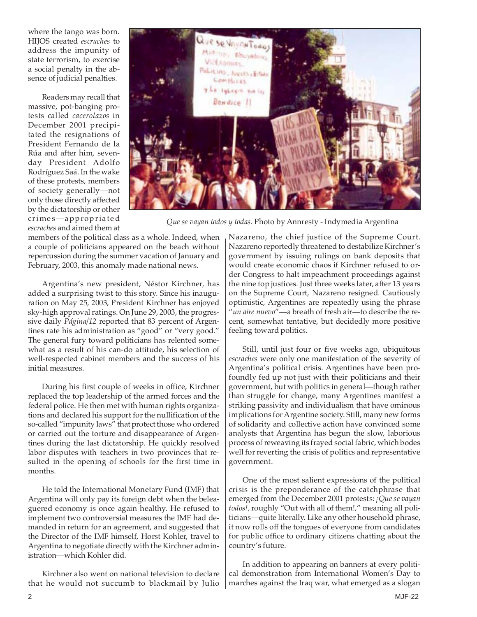where the tango was born. HIJOS created *escraches* to address the impunity of state terrorism, to exercise a social penalty in the absence of judicial penalties.

Readers may recall that massive, pot-banging protests called *cacerolazos* in December 2001 precipitated the resignations of President Fernando de la Rúa and after him, sevenday President Adolfo Rodríguez Saá. In the wake of these protests, members of society generally—not only those directly affected by the dictatorship or other crimes—appropriated *escraches* and aimed them at



*Que se vayan todos y todas.* Photo by Annresty - Indymedia Argentina

members of the political class as a whole. Indeed, when a couple of politicians appeared on the beach without repercussion during the summer vacation of January and February, 2003, this anomaly made national news.

Argentina's new president, Néstor Kirchner, has added a surprising twist to this story. Since his inauguration on May 25, 2003, President Kirchner has enjoyed sky-high approval ratings. On June 29, 2003, the progressive daily *Página/12* reported that 83 percent of Argentines rate his administration as "good" or "very good." The general fury toward politicians has relented somewhat as a result of his can-do attitude, his selection of well-respected cabinet members and the success of his initial measures.

During his first couple of weeks in office, Kirchner replaced the top leadership of the armed forces and the federal police. He then met with human rights organizations and declared his support for the nullification of the so-called "impunity laws" that protect those who ordered or carried out the torture and disappearance of Argentines during the last dictatorship. He quickly resolved labor disputes with teachers in two provinces that resulted in the opening of schools for the first time in months.

He told the International Monetary Fund (IMF) that Argentina will only pay its foreign debt when the beleaguered economy is once again healthy. He refused to implement two controversial measures the IMF had demanded in return for an agreement, and suggested that the Director of the IMF himself, Horst Kohler, travel to Argentina to negotiate directly with the Kirchner administration—which Kohler did.

Kirchner also went on national television to declare that he would not succumb to blackmail by Julio

Nazareno, the chief justice of the Supreme Court. Nazareno reportedly threatened to destabilize Kirchner's government by issuing rulings on bank deposits that would create economic chaos if Kirchner refused to order Congress to halt impeachment proceedings against the nine top justices. Just three weeks later, after 13 years on the Supreme Court, Nazareno resigned. Cautiously optimistic, Argentines are repeatedly using the phrase "*un aire nuevo*"—a breath of fresh air—to describe the recent, somewhat tentative, but decidedly more positive feeling toward politics.

Still, until just four or five weeks ago, ubiquitous *escraches* were only one manifestation of the severity of Argentina's political crisis. Argentines have been profoundly fed up not just with their politicians and their government, but with politics in general—though rather than struggle for change, many Argentines manifest a striking passivity and individualism that have ominous implications for Argentine society. Still, many new forms of solidarity and collective action have convinced some analysts that Argentina has begun the slow, laborious process of reweaving its frayed social fabric, which bodes well for reverting the crisis of politics and representative government.

One of the most salient expressions of the political crisis is the preponderance of the catchphrase that emerged from the December 2001 protests: *¡Que se vayan todos!,* roughly "Out with all of them!," meaning all politicians—quite literally. Like any other household phrase, it now rolls off the tongues of everyone from candidates for public office to ordinary citizens chatting about the country's future.

In addition to appearing on banners at every political demonstration from International Women's Day to marches against the Iraq war, what emerged as a slogan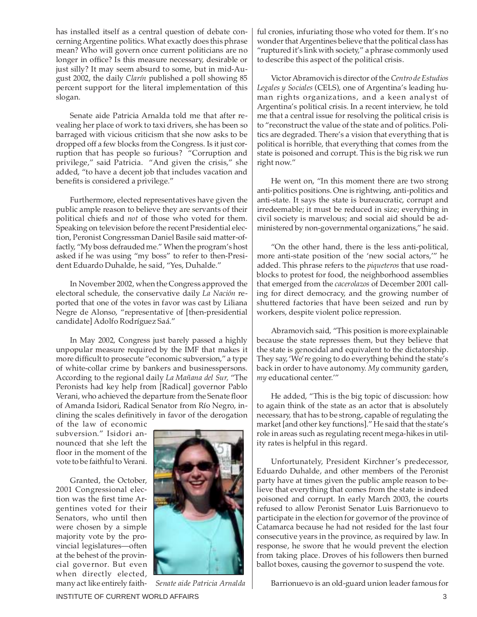has installed itself as a central question of debate concerning Argentine politics. What exactly does this phrase mean? Who will govern once current politicians are no longer in office? Is this measure necessary, desirable or just silly? It may seem absurd to some, but in mid-August 2002, the daily *Clarín* published a poll showing 85 percent support for the literal implementation of this slogan.

Senate aide Patricia Arnalda told me that after revealing her place of work to taxi drivers, she has been so barraged with vicious criticism that she now asks to be dropped off a few blocks from the Congress. Is it just corruption that has people so furious? "Corruption and privilege," said Patricia. "And given the crisis," she added, "to have a decent job that includes vacation and benefits is considered a privilege."

Furthermore, elected representatives have given the public ample reason to believe they are servants of their political chiefs and *not* of those who voted for them. Speaking on television before the recent Presidential election, Peronist Congressman Daniel Basile said matter-offactly, "My boss defrauded me." When the program's host asked if he was using "my boss" to refer to then-President Eduardo Duhalde, he said, "Yes, Duhalde."

In November 2002, when the Congress approved the electoral schedule, the conservative daily *La Nación* reported that one of the votes in favor was cast by Liliana Negre de Alonso, "representative of [then-presidential candidate] Adolfo Rodríguez Saá."

In May 2002, Congress just barely passed a highly unpopular measure required by the IMF that makes it more difficult to prosecute "economic subversion," a type of white-collar crime by bankers and businesspersons. According to the regional daily *La Mañana del Sur,* "The Peronists had key help from [Radical] governor Pablo Verani, who achieved the departure from the Senate floor of Amanda Isidori, Radical Senator from Río Negro, inclining the scales definitively in favor of the derogation

of the law of economic subversion." Isidori announced that she left the floor in the moment of the vote to be faithful to Verani.

Granted, the October, 2001 Congressional election was the first time Argentines voted for their Senators, who until then were chosen by a simple majority vote by the provincial legislatures—often at the behest of the provincial governor. But even when directly elected, many act like entirely faith-



ful cronies, infuriating those who voted for them. It's no wonder that Argentines believe that the political class has "ruptured it's link with society," a phrase commonly used to describe this aspect of the political crisis.

Victor Abramovich is director of the *Centro de Estudios Legales y Sociales* (CELS), one of Argentina's leading human rights organizations, and a keen analyst of Argentina's political crisis. In a recent interview, he told me that a central issue for resolving the political crisis is to "reconstruct the value of the state and of politics. Politics are degraded. There's a vision that everything that is political is horrible, that everything that comes from the state is poisoned and corrupt. This is the big risk we run right now."

He went on, "In this moment there are two strong anti-politics positions. One is rightwing, anti-politics and anti-state. It says the state is bureaucratic, corrupt and irredeemable; it must be reduced in size; everything in civil society is marvelous; and social aid should be administered by non-governmental organizations," he said.

"On the other hand, there is the less anti-political, more anti-state position of the 'new social actors,'" he added. This phrase refers to the *piqueteros* that use roadblocks to protest for food, the neighborhood assemblies that emerged from the *cacerolazos* of December 2001 calling for direct democracy, and the growing number of shuttered factories that have been seized and run by workers, despite violent police repression.

Abramovich said, "This position is more explainable because the state represses them, but they believe that the state is genocidal and equivalent to the dictatorship. They say, 'We're going to do everything behind the state's back in order to have autonomy. *My* community garden, *my* educational center.'"

He added, "This is the big topic of discussion: how to again think of the state as an actor that is absolutely necessary, that has to be strong, capable of regulating the market [and other key functions]." He said that the state's role in areas such as regulating recent mega-hikes in utility rates is helpful in this regard.

Unfortunately, President Kirchner's predecessor, Eduardo Duhalde, and other members of the Peronist party have at times given the public ample reason to believe that everything that comes from the state is indeed poisoned and corrupt. In early March 2003, the courts refused to allow Peronist Senator Luis Barrionuevo to participate in the election for governor of the province of Catamarca because he had not resided for the last four consecutive years in the province, as required by law. In response, he swore that he would prevent the election from taking place. Droves of his followers then burned ballot boxes, causing the governor to suspend the vote.

 *Senate aide Patricia Arnalda* Barrionuevo is an old-guard union leader famous for

INSTITUTE OF CURRENT WORLD AFFAIRS 3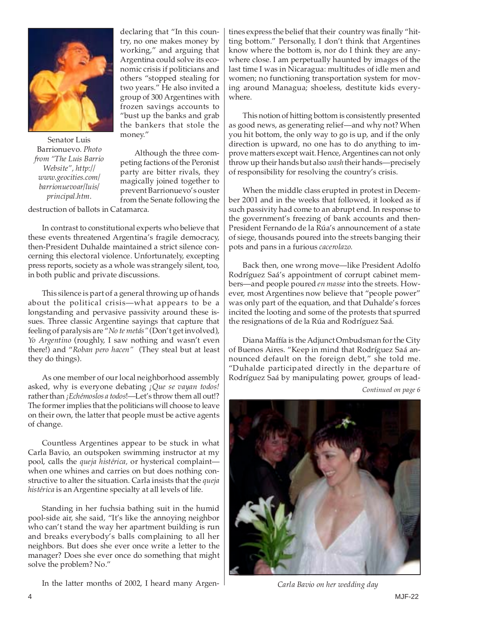

Senator Luis Barrionuevo. *Photo from "The Luis Barrio Website", http:// www.geocities.com/ barrionuevoar/luis/ principal.htm*.

declaring that "In this country, no one makes money by working," and arguing that Argentina could solve its economic crisis if politicians and others "stopped stealing for two years." He also invited a group of 300 Argentines with frozen savings accounts to "bust up the banks and grab the bankers that stole the money."

Although the three competing factions of the Peronist party are bitter rivals, they magically joined together to prevent Barrionuevo's ouster from the Senate following the

destruction of ballots in Catamarca.

In contrast to constitutional experts who believe that these events threatened Argentina's fragile democracy, then-President Duhalde maintained a strict silence concerning this electoral violence. Unfortunately, excepting press reports, society as a whole was strangely silent, too, in both public and private discussions.

This silence is part of a general throwing up of hands about the political crisis—what appears to be a longstanding and pervasive passivity around these issues. Three classic Argentine sayings that capture that feeling of paralysis are "*No te metás"* (Don't get involved), *Yo Argentino* (roughly, I saw nothing and wasn't even there!) and "*Roban pero hacen"* (They steal but at least they do things).

As one member of our local neighborhood assembly asked, why is everyone debating *¡Que se vayan todos!* rather than *¡Echémoslos a todos*!—Let's throw them all out!? The former implies that the politicians will choose to leave on their own, the latter that people must be active agents of change.

Countless Argentines appear to be stuck in what Carla Bavio, an outspoken swimming instructor at my pool, calls the *queja histérica,* or hysterical complaint when one whines and carries on but does nothing constructive to alter the situation. Carla insists that the *queja histérica* is an Argentine specialty at all levels of life.

Standing in her fuchsia bathing suit in the humid pool-side air, she said, "It's like the annoying neighbor who can't stand the way her apartment building is run and breaks everybody's balls complaining to all her neighbors. But does she ever once write a letter to the manager? Does she ever once do something that might solve the problem? No."

In the latter months of 2002, I heard many Argen-

tines express the belief that their country was finally "hitting bottom." Personally, I don't think that Argentines know where the bottom is, nor do I think they are anywhere close. I am perpetually haunted by images of the last time I was in Nicaragua: multitudes of idle men and women; no functioning transportation system for moving around Managua; shoeless, destitute kids everywhere.

This notion of hitting bottom is consistently presented as good news, as generating relief—and why not? When you hit bottom, the only way to go is up, and if the only direction is upward, no one has to do anything to improve matters except wait. Hence, Argentines can not only throw up their hands but also *wash* their hands—precisely of responsibility for resolving the country's crisis.

When the middle class erupted in protest in December 2001 and in the weeks that followed, it looked as if such passivity had come to an abrupt end. In response to the government's freezing of bank accounts and then-President Fernando de la Rúa's announcement of a state of siege, thousands poured into the streets banging their pots and pans in a furious *cacerolazo.*

Back then, one wrong move—like President Adolfo Rodríguez Saá's appointment of corrupt cabinet members—and people poured *en masse* into the streets. However, most Argentines now believe that "people power" was only part of the equation, and that Duhalde's forces incited the looting and some of the protests that spurred the resignations of de la Rúa and Rodríguez Saá.

Diana Maffía is the Adjunct Ombudsman for the City of Buenos Aires. "Keep in mind that Rodríguez Saá announced default on the foreign debt," she told me. "Duhalde participated directly in the departure of Rodríguez Saá by manipulating power, groups of lead-

*Continued on page 6*



*Carla Bavio on her wedding day*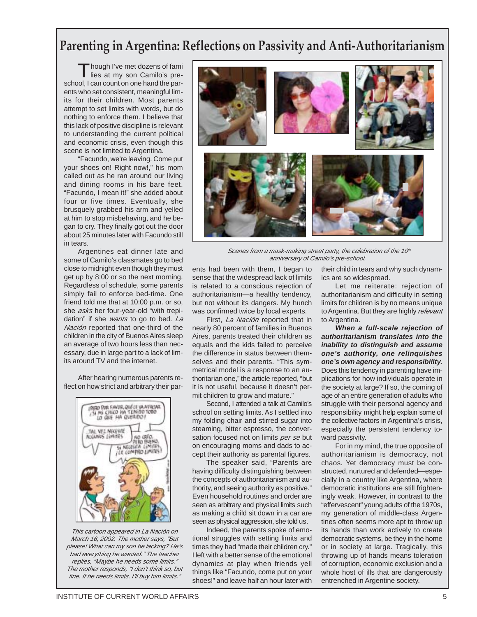# **Parenting in Argentina: Reflections on Passivity and Anti-Authoritarianism**

Though I've met dozens of fami lies at my son Camilo's preschool, I can count on one hand the parents who set consistent, meaningful limits for their children. Most parents attempt to set limits with words, but do nothing to enforce them. I believe that this lack of positive discipline is relevant to understanding the current political and economic crisis, even though this scene is not limited to Argentina.

"Facundo, we're leaving. Come put your shoes on! Right now!," his mom called out as he ran around our living and dining rooms in his bare feet. "Facundo, I mean it!" she added about four or five times. Eventually, she brusquely grabbed his arm and yelled at him to stop misbehaving, and he began to cry. They finally got out the door about 25 minutes later with Facundo still in tears.

Argentines eat dinner late and some of Camilo's classmates go to bed close to midnight even though they must get up by 8:00 or so the next morning. Regardless of schedule, some parents simply fail to enforce bed-time. One friend told me that at 10:00 p.m. or so, she asks her four-year-old "with trepidation" if she *wants* to go to bed. La Nación reported that one-third of the children in the city of Buenos Aires sleep an average of two hours less than necessary, due in large part to a lack of limits around TV and the internet.

After hearing numerous parents reflect on how strict and arbitrary their par-



This cartoon appeared in La Nación on March 16, 2002. The mother says, "But please! What can my son be lacking? He's had everything he wanted." The teacher replies, "Maybe he needs some limits." The mother responds, "I don't think so, but fine. If he needs limits, I'll buy him limits."



Scenes from a mask-making street party, the celebration of the 10th anniversary of Camilo's pre-school.

ents had been with them, I began to sense that the widespread lack of limits is related to a conscious rejection of authoritarianism—a healthy tendency, but not without its dangers. My hunch was confirmed twice by local experts.

First, La Nación reported that in nearly 80 percent of families in Buenos Aires, parents treated their children as equals and the kids failed to perceive the difference in status between themselves and their parents. "This symmetrical model is a response to an authoritarian one," the article reported, "but it is not useful, because it doesn't permit children to grow and mature."

Second, I attended a talk at Camilo's school on setting limits. As I settled into my folding chair and stirred sugar into steaming, bitter espresso, the conversation focused not on limits per se but on encouraging moms and dads to accept their authority as parental figures.

The speaker said, "Parents are having difficulty distinguishing between the concepts of authoritarianism and authority, and seeing authority as positive." Even household routines and order are seen as arbitrary and physical limits such as making a child sit down in a car are seen as physical aggression, she told us.

Indeed, the parents spoke of emotional struggles with setting limits and times they had "made their children cry." I left with a better sense of the emotional dynamics at play when friends yell things like "Facundo, come put on your shoes!" and leave half an hour later with

their child in tears and why such dynamics are so widespread.

Let me reiterate: rejection of authoritarianism and difficulty in setting limits for children is by no means unique to Argentina. But they are highly relevant to Argentina.

**When a full-scale rejection of authoritarianism translates into the inability to distinguish and assume one's authority, one relinquishes one's own agency and responsibility.** Does this tendency in parenting have implications for how individuals operate in the society at large? If so, the coming of age of an entire generation of adults who struggle with their personal agency and responsibility might help explain some of the collective factors in Argentina's crisis, especially the persistent tendency toward passivity.

For in my mind, the true opposite of authoritarianism is democracy, not chaos. Yet democracy must be constructed, nurtured and defended—especially in a country like Argentina, where democratic institutions are still frighteningly weak. However, in contrast to the "effervescent" young adults of the 1970s, my generation of middle-class Argentines often seems more apt to throw up its hands than work actively to create democratic systems, be they in the home or in society at large. Tragically, this throwing up of hands means toleration of corruption, economic exclusion and a whole host of ills that are dangerously entrenched in Argentine society.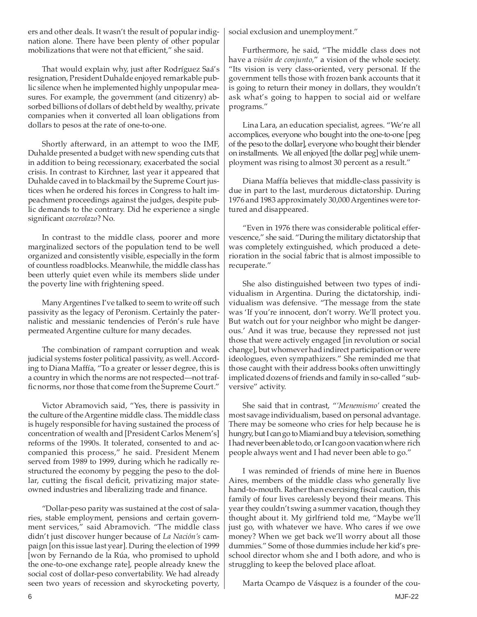ers and other deals. It wasn't the result of popular indignation alone. There have been plenty of other popular mobilizations that were not that efficient," she said.

That would explain why, just after Rodríguez Saá's resignation, President Duhalde enjoyed remarkable public silence when he implemented highly unpopular measures. For example, the government (and citizenry) absorbed billions of dollars of debt held by wealthy, private companies when it converted all loan obligations from dollars to pesos at the rate of one-to-one.

Shortly afterward, in an attempt to woo the IMF, Duhalde presented a budget with new spending cuts that in addition to being recessionary, exacerbated the social crisis. In contrast to Kirchner, last year it appeared that Duhalde caved in to blackmail by the Supreme Court justices when he ordered his forces in Congress to halt impeachment proceedings against the judges, despite public demands to the contrary. Did he experience a single significant *cacerolazo*? No.

In contrast to the middle class, poorer and more marginalized sectors of the population tend to be well organized and consistently visible, especially in the form of countless roadblocks. Meanwhile, the middle class has been utterly quiet even while its members slide under the poverty line with frightening speed.

Many Argentines I've talked to seem to write off such passivity as the legacy of Peronism. Certainly the paternalistic and messianic tendencies of Perón's rule have permeated Argentine culture for many decades.

The combination of rampant corruption and weak judicial systems foster political passivity, as well. According to Diana Maffía, "To a greater or lesser degree, this is a country in which the norms are not respected—not traffic norms, nor those that come from the Supreme Court."

Victor Abramovich said, "Yes, there is passivity in the culture of the Argentine middle class. The middle class is hugely responsible for having sustained the process of concentration of wealth and [President Carlos Menem's] reforms of the 1990s. It tolerated, consented to and accompanied this process," he said. President Menem served from 1989 to 1999, during which he radically restructured the economy by pegging the peso to the dollar, cutting the fiscal deficit, privatizing major stateowned industries and liberalizing trade and finance.

"Dollar-peso parity was sustained at the cost of salaries, stable employment, pensions and certain government services," said Abramovich. "The middle class didn't just discover hunger because of *La Nación's* campaign [on this issue last year]. During the election of 1999 [won by Fernando de la Rúa, who promised to uphold the one-to-one exchange rate], people already knew the social cost of dollar-peso convertability. We had already seen two years of recession and skyrocketing poverty, social exclusion and unemployment."

Furthermore, he said, "The middle class does not have a *visión de conjunto,*" a vision of the whole society. "Its vision is very class-oriented, very personal. If the government tells those with frozen bank accounts that it is going to return their money in dollars, they wouldn't ask what's going to happen to social aid or welfare programs."

Lina Lara, an education specialist, agrees. "We're all accomplices, everyone who bought into the one-to-one [peg of the peso to the dollar], everyone who bought their blender on installments. We all enjoyed [the dollar peg] while unemployment was rising to almost 30 percent as a result."

Diana Maffía believes that middle-class passivity is due in part to the last, murderous dictatorship. During 1976 and 1983 approximately 30,000 Argentines were tortured and disappeared.

"Even in 1976 there was considerable political effervescence," she said. "During the military dictatorship that was completely extinguished, which produced a deterioration in the social fabric that is almost impossible to recuperate."

She also distinguished between two types of individualism in Argentina. During the dictatorship, individualism was defensive. "The message from the state was 'If you're innocent, don't worry. We'll protect you. But watch out for your neighbor who might be dangerous.' And it was true, because they repressed not just those that were actively engaged [in revolution or social change], but whomever had indirect participation or were ideologues, even sympathizers." She reminded me that those caught with their address books often unwittingly implicated dozens of friends and family in so-called "subversive" activity.

She said that in contrast, "*'Menemismo'* created the most savage individualism, based on personal advantage. There may be someone who cries for help because he is hungry, but I can go to Miami and buy a television, something I had never been able to do, or I can go on vacation where rich people always went and I had never been able to go."

I was reminded of friends of mine here in Buenos Aires, members of the middle class who generally live hand-to-mouth. Rather than exercising fiscal caution, this family of four lives carelessly beyond their means. This year they couldn't swing a summer vacation, though they thought about it. My girlfriend told me, "Maybe we'll just go, with whatever we have. Who cares if we owe money? When we get back we'll worry about all those dummies." Some of those dummies include her kid's preschool director whom she and I both adore, and who is struggling to keep the beloved place afloat.

Marta Ocampo de Vásquez is a founder of the cou-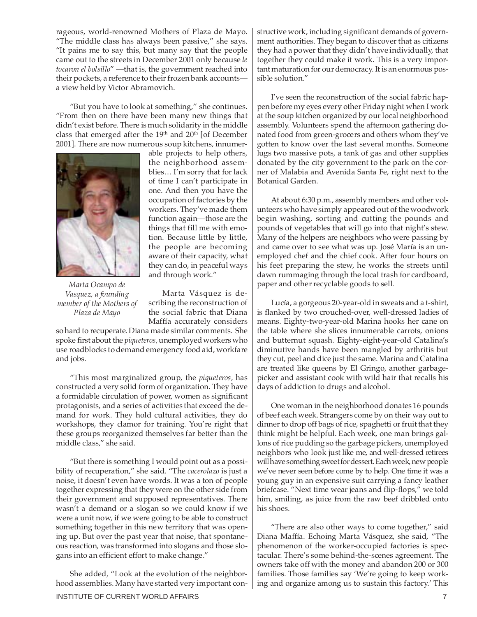rageous, world-renowned Mothers of Plaza de Mayo. "The middle class has always been passive," she says. "It pains me to say this, but many say that the people came out to the streets in December 2001 only because *le tocaron el bolsillo*" —that is, the government reached into their pockets, a reference to their frozen bank accounts a view held by Victor Abramovich.

"But you have to look at something," she continues. "From then on there have been many new things that didn't exist before. There is much solidarity in the middle class that emerged after the 19<sup>th</sup> and 20<sup>th</sup> [of December 2001]. There are now numerous soup kitchens, innumer-



able projects to help others, the neighborhood assemblies… I'm sorry that for lack of time I can't participate in one. And then you have the occupation of factories by the workers. They've made them function again—those are the things that fill me with emotion. Because little by little, the people are becoming aware of their capacity, what they can do, in peaceful ways and through work."

*Marta Ocampo de Vasquez, a founding member of the Mothers of Plaza de Mayo*

Marta Vásquez is describing the reconstruction of the social fabric that Diana Maffía accurately considers

so hard to recuperate. Diana made similar comments. She spoke first about the *piqueteros,* unemployed workers who use roadblocks to demand emergency food aid, workfare and jobs.

"This most marginalized group, the *piqueteros,* has constructed a very solid form of organization. They have a formidable circulation of power, women as significant protagonists, and a series of activities that exceed the demand for work. They hold cultural activities, they do workshops, they clamor for training. You're right that these groups reorganized themselves far better than the middle class," she said.

"But there is something I would point out as a possibility of recuperation," she said. "The *cacerolazo* is just a noise, it doesn't even have words. It was a ton of people together expressing that they were on the other side from their government and supposed representatives. There wasn't a demand or a slogan so we could know if we were a unit now, if we were going to be able to construct something together in this new territory that was opening up. But over the past year that noise, that spontaneous reaction, was transformed into slogans and those slogans into an efficient effort to make change."

She added, "Look at the evolution of the neighborhood assemblies. Many have started very important constructive work, including significant demands of government authorities. They began to discover that as citizens they had a power that they didn't have individually, that together they could make it work. This is a very important maturation for our democracy. It is an enormous possible solution."

I've seen the reconstruction of the social fabric happen before my eyes every other Friday night when I work at the soup kitchen organized by our local neighborhood assembly. Volunteers spend the afternoon gathering donated food from green-grocers and others whom they've gotten to know over the last several months. Someone lugs two massive pots, a tank of gas and other supplies donated by the city government to the park on the corner of Malabia and Avenida Santa Fe, right next to the Botanical Garden.

At about 6:30 p.m., assembly members and other volunteers who have simply appeared out of the woodwork begin washing, sorting and cutting the pounds and pounds of vegetables that will go into that night's stew. Many of the helpers are neighbors who were passing by and came over to see what was up. José María is an unemployed chef and the chief cook. After four hours on his feet preparing the stew, he works the streets until dawn rummaging through the local trash for cardboard, paper and other recyclable goods to sell.

Lucía, a gorgeous 20-year-old in sweats and a t-shirt, is flanked by two crouched-over, well-dressed ladies of means. Eighty-two-year-old Marina hooks her cane on the table where she slices innumerable carrots, onions and butternut squash. Eighty-eight-year-old Catalina's diminutive hands have been mangled by arthritis but they cut, peel and dice just the same. Marina and Catalina are treated like queens by El Gringo, another garbagepicker and assistant cook with wild hair that recalls his days of addiction to drugs and alcohol.

One woman in the neighborhood donates 16 pounds of beef each week. Strangers come by on their way out to dinner to drop off bags of rice, spaghetti or fruit that they think might be helpful. Each week, one man brings gallons of rice pudding so the garbage pickers, unemployed neighbors who look just like me, and well-dressed retirees will have something sweet for dessert. Each week, new people we've never seen before come by to help. One time it was a young guy in an expensive suit carrying a fancy leather briefcase. "Next time wear jeans and flip-flops," we told him, smiling, as juice from the raw beef dribbled onto his shoes.

"There are also other ways to come together," said Diana Maffía. Echoing Marta Vásquez, she said, "The phenomenon of the worker-occupied factories is spectacular. There's some behind-the-scenes agreement. The owners take off with the money and abandon 200 or 300 families. Those families say 'We're going to keep working and organize among us to sustain this factory.' This